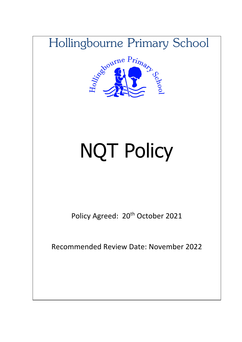



# NQT Policy

Policy Agreed: 20<sup>th</sup> October 2021

Recommended Review Date: November 2022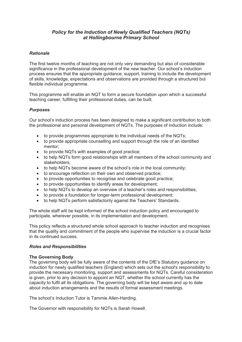# *Policy for the Induction of Newly Qualified Teachers (NQTs) at Hollingbourne Primary School*

# *Rationale*

The first twelve months of teaching are not only very demanding but also of considerable significance in the professional development of the new teacher. Our school's induction process ensures that the appropriate guidance, support, training to include the development of skills, knowledge, expectations and observations are provided through a structured but flexible individual programme.

This programme will enable an NQT to form a secure foundation upon which a successful teaching career, fulfilling their professional duties, can be built.

# *Purposes*

Our school's induction process has been designed to make a significant contribution to both the professional and personal development of NQTs. The purposes of induction include:

- to provide programmes appropriate to the individual needs of the NQTs;
- to provide appropriate counselling and support through the role of an identified mentor;
- to provide NQTs with examples of good practice;
- to help NQTs form good relationships with all members of the school community and stakeholders;
- to help NQTs become aware of the school's role in the local community;
- to encourage reflection on their own and observed practice;
- to provide opportunities to recognise and celebrate good practice;
- to provide opportunities to identify areas for development;
- to help NQTs to develop an overview of a teacher's roles and responsibilities;
- to provide a foundation for longer-term professional development;
- to help NQTs perform satisfactorily against the Teachers' Standards.

The whole staff will be kept informed of the school induction policy and encouraged to participate, wherever possible, in its implementation and development.

This policy reflects a structured whole school approach to teacher induction and recognises that the quality and commitment of the people who supervise the induction is a crucial factor in its continued success.

### *Roles and Responsibilities*

### **The Governing Body**

The governing body will be fully aware of the contents of the DfE's Statutory guidance on induction for newly qualified teachers (England) which sets out the school's responsibility to provide the necessary monitoring, support and assessments for NQTs. Careful consideration is given, prior to any decision to appoint an NQT, whether the school currently has the capacity to fulfil all its obligations. The governing body will be kept aware and up to date about induction arrangements and the results of formal assessment meetings.

The school's Induction Tutor is Tammie Allen-Harding.

The Governor with responsibility for NQTs is Sarah Howell.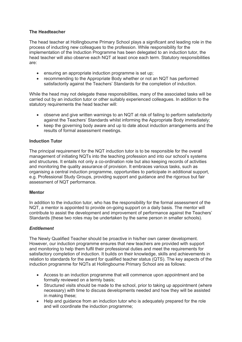# **The Headteacher**

The head teacher at Hollingbourne Primary School plays a significant and leading role in the process of inducting new colleagues to the profession. While responsibility for the implementation of the Induction Programme has been delegated to an induction tutor, the head teacher will also observe each NQT at least once each term. Statutory responsibilities are:

- ensuring an appropriate induction programme is set up;
- recommending to the Appropriate Body whether or not an NQT has performed satisfactorily against the Teachers' Standards for the completion of induction.

While the head may not delegate these responsibilities, many of the associated tasks will be carried out by an induction tutor or other suitably experienced colleagues. In addition to the statutory requirements the head teacher will:

- observe and give written warnings to an NQT at risk of failing to perform satisfactorily against the Teachers' Standards whilst informing the Appropriate Body immediately;
- keep the governing body aware and up to date about induction arrangements and the results of formal assessment meetings.

# **Induction Tutor**

The principal requirement for the NQT induction tutor is to be responsible for the overall management of initiating NQTs into the teaching profession and into our school's systems and structures. It entails not only a co-ordination role but also keeping records of activities and monitoring the quality assurance of provision. It embraces various tasks, such as organising a central induction programme, opportunities to participate in additional support, e.g. Professional Study Groups, providing support and guidance and the rigorous but fair assessment of NQT performance.

### **Mentor**

In addition to the induction tutor, who has the responsibility for the formal assessment of the NQT, a mentor is appointed to provide on-going support on a daily basis. The mentor will contribute to assist the development and improvement of performance against the Teachers' Standards (these two roles may be undertaken by the same person in smaller schools).

### *Entitlement*

The Newly Qualified Teacher should be proactive in his/her own career development. However, our induction programme ensures that new teachers are provided with support and monitoring to help them fulfil their professional duties and meet the requirements for satisfactory completion of induction. It builds on their knowledge, skills and achievements in relation to standards for the award for qualified teacher status (QTS). The key aspects of the induction programme for NQTs at Hollingbourne Primary School are as follows:

- Access to an induction programme that will commence upon appointment and be formally reviewed on a termly basis;
- Structured visits should be made to the school, prior to taking up appointment (where necessary) with time to discuss developments needed and how they will be assisted in making these;
- Help and guidance from an induction tutor who is adequately prepared for the role and will coordinate the induction programme;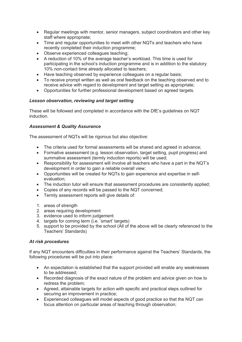- Regular meetings with mentor, senior managers, subject coordinators and other key staff where appropriate;
- Time and regular opportunities to meet with other NQTs and teachers who have recently completed their induction programme;
- Observe experienced colleagues teaching;
- A reduction of 10% of the average teacher's workload. This time is used for participating in the school's induction programme and is in addition to the statutory 10% non-contact time already allocated to teachers;
- Have teaching observed by experience colleagues on a regular basis;
- To receive prompt written as well as oral feedback on the teaching observed and to receive advice with regard to development and target setting as appropriate;
- Opportunities for further professional development based on agreed targets.

# *Lesson observation, reviewing and target setting*

These will be followed and completed in accordance with the DfE's guidelines on NQT induction.

# *Assessment & Quality Assurance*

The assessment of NQTs will be rigorous but also objective:

- The criteria used for formal assessments will be shared and agreed in advance;
- Formative assessment (e.g. lesson observation, target setting, pupil progress) and summative assessment (termly induction reports) will be used;
- Responsibility for assessment will involve all teachers who have a part in the NQT's development in order to gain a reliable overall view;
- Opportunities will be created for NQTs to gain experience and expertise in selfevaluation;
- The induction tutor will ensure that assessment procedures are consistently applied;
- Copies of any records will be passed to the NQT concerned;
- Termly assessment reports will give details of:
- 1. areas of strength
- 2. areas requiring development
- 3. evidence used to inform judgement
- 4. targets for coming term (i.e. 'smart' targets)
- 5. support to be provided by the school (All of the above will be clearly referenced to the Teachers' Standards)

### *At risk procedures*

If any NQT encounters difficulties in their performance against the Teachers' Standards, the following procedures will be put into place:

- An expectation is established that the support provided will enable any weaknesses to be addressed;
- Recorded diagnosis of the exact nature of the problem and advice given on how to redress the problem;
- Agreed, attainable targets for action with specific and practical steps outlined for securing an improvement in practice;
- Experienced colleagues will model aspects of good practice so that the NQT can focus attention on particular areas of teaching through observation;